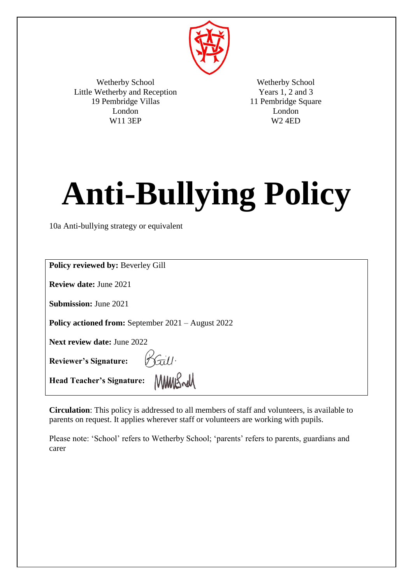

Wetherby School Little Wetherby and Reception 19 Pembridge Villas London W11 3EP

Wetherby School Years 1, 2 and 3 11 Pembridge Square London W2 4ED

# **Anti-Bullying Policy**

10a Anti-bullying strategy or equivalent

| <b>Policy reviewed by: Beverley Gill</b>                  |
|-----------------------------------------------------------|
| <b>Review date: June 2021</b>                             |
| <b>Submission: June 2021</b>                              |
| <b>Policy actioned from:</b> September 2021 – August 2022 |
| <b>Next review date: June 2022</b>                        |
| Reviewer's Signature: Kall                                |
| Head Teacher's Signature:                                 |

**Circulation**: This policy is addressed to all members of staff and volunteers, is available to parents on request. It applies wherever staff or volunteers are working with pupils.

Please note: 'School' refers to Wetherby School; 'parents' refers to parents, guardians and carer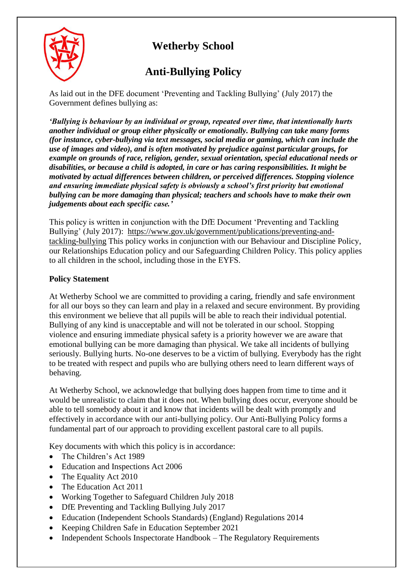

# **Wetherby School**

# **Anti-Bullying Policy**

As laid out in the DFE document 'Preventing and Tackling Bullying' (July 2017) the Government defines bullying as:

*'Bullying is behaviour by an individual or group, repeated over time, that intentionally hurts another individual or group either physically or emotionally. Bullying can take many forms (for instance, cyber-bullying via text messages, social media or gaming, which can include the use of images and video), and is often motivated by prejudice against particular groups, for example on grounds of race, religion, gender, sexual orientation, special educational needs or disabilities, or because a child is adopted, in care or has caring responsibilities. It might be motivated by actual differences between children, or perceived differences. Stopping violence and ensuring immediate physical safety is obviously a school's first priority but emotional bullying can be more damaging than physical; teachers and schools have to make their own judgements about each specific case.'*

This policy is written in conjunction with the DfE Document 'Preventing and Tackling Bullying' (July 2017): [https://www.gov.uk/government/publications/preventing-and](https://www.gov.uk/government/publications/preventing-and-tackling-bullying)[tackling-bullying](https://www.gov.uk/government/publications/preventing-and-tackling-bullying) This policy works in conjunction with our Behaviour and Discipline Policy, our Relationships Education policy and our Safeguarding Children Policy. This policy applies to all children in the school, including those in the EYFS.

# **Policy Statement**

At Wetherby School we are committed to providing a caring, friendly and safe environment for all our boys so they can learn and play in a relaxed and secure environment. By providing this environment we believe that all pupils will be able to reach their individual potential. Bullying of any kind is unacceptable and will not be tolerated in our school. Stopping violence and ensuring immediate physical safety is a priority however we are aware that emotional bullying can be more damaging than physical. We take all incidents of bullying seriously. Bullying hurts. No-one deserves to be a victim of bullying. Everybody has the right to be treated with respect and pupils who are bullying others need to learn different ways of behaving.

At Wetherby School, we acknowledge that bullying does happen from time to time and it would be unrealistic to claim that it does not. When bullying does occur, everyone should be able to tell somebody about it and know that incidents will be dealt with promptly and effectively in accordance with our anti-bullying policy. Our Anti-Bullying Policy forms a fundamental part of our approach to providing excellent pastoral care to all pupils.

Key documents with which this policy is in accordance:

- The Children's Act 1989
- Education and Inspections Act 2006
- The Equality Act 2010
- The Education Act 2011
- Working Together to Safeguard Children July 2018
- DfE Preventing and Tackling Bullying July 2017
- Education (Independent Schools Standards) (England) Regulations 2014
- Keeping Children Safe in Education September 2021
- Independent Schools Inspectorate Handbook The Regulatory Requirements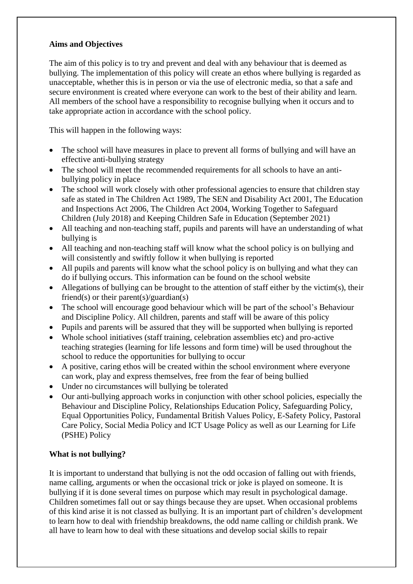#### **Aims and Objectives**

The aim of this policy is to try and prevent and deal with any behaviour that is deemed as bullying. The implementation of this policy will create an ethos where bullying is regarded as unacceptable, whether this is in person or via the use of electronic media, so that a safe and secure environment is created where everyone can work to the best of their ability and learn. All members of the school have a responsibility to recognise bullying when it occurs and to take appropriate action in accordance with the school policy.

This will happen in the following ways:

- The school will have measures in place to prevent all forms of bullying and will have an effective anti-bullying strategy
- The school will meet the recommended requirements for all schools to have an antibullying policy in place
- The school will work closely with other professional agencies to ensure that children stay safe as stated in The Children Act 1989, The SEN and Disability Act 2001, The Education and Inspections Act 2006, The Children Act 2004, Working Together to Safeguard Children (July 2018) and Keeping Children Safe in Education (September 2021)
- All teaching and non-teaching staff, pupils and parents will have an understanding of what bullying is
- All teaching and non-teaching staff will know what the school policy is on bullying and will consistently and swiftly follow it when bullying is reported
- All pupils and parents will know what the school policy is on bullying and what they can do if bullying occurs. This information can be found on the school website
- Allegations of bullying can be brought to the attention of staff either by the victim(s), their friend(s) or their parent(s)/guardian(s)
- The school will encourage good behaviour which will be part of the school's Behaviour and Discipline Policy. All children, parents and staff will be aware of this policy
- Pupils and parents will be assured that they will be supported when bullying is reported
- Whole school initiatives (staff training, celebration assemblies etc) and pro-active teaching strategies (learning for life lessons and form time) will be used throughout the school to reduce the opportunities for bullying to occur
- A positive, caring ethos will be created within the school environment where everyone can work, play and express themselves, free from the fear of being bullied
- Under no circumstances will bullying be tolerated
- Our anti-bullying approach works in conjunction with other school policies, especially the Behaviour and Discipline Policy, Relationships Education Policy, Safeguarding Policy, Equal Opportunities Policy, Fundamental British Values Policy, E-Safety Policy, Pastoral Care Policy, Social Media Policy and ICT Usage Policy as well as our Learning for Life (PSHE) Policy

#### **What is not bullying?**

It is important to understand that bullying is not the odd occasion of falling out with friends, name calling, arguments or when the occasional trick or joke is played on someone. It is bullying if it is done several times on purpose which may result in psychological damage. Children sometimes fall out or say things because they are upset. When occasional problems of this kind arise it is not classed as bullying. It is an important part of children's development to learn how to deal with friendship breakdowns, the odd name calling or childish prank. We all have to learn how to deal with these situations and develop social skills to repair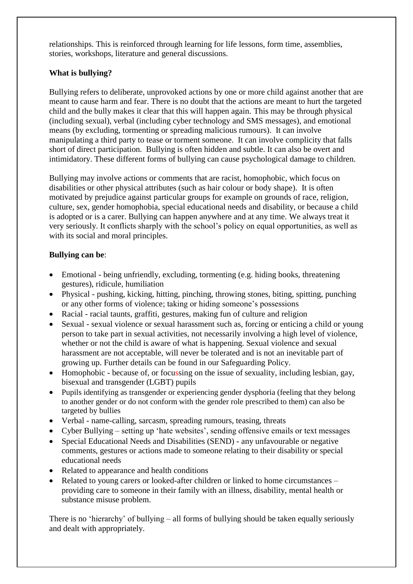relationships. This is reinforced through learning for life lessons, form time, assemblies, stories, workshops, literature and general discussions.

# **What is bullying?**

Bullying refers to deliberate, unprovoked actions by one or more child against another that are meant to cause harm and fear. There is no doubt that the actions are meant to hurt the targeted child and the bully makes it clear that this will happen again. This may be through physical (including sexual), verbal (including cyber technology and SMS messages), and emotional means (by excluding, tormenting or spreading malicious rumours). It can involve manipulating a third party to tease or torment someone. It can involve complicity that falls short of direct participation. Bullying is often hidden and subtle. It can also be overt and intimidatory. These different forms of bullying can cause psychological damage to children.

Bullying may involve actions or comments that are racist, homophobic, which focus on disabilities or other physical attributes (such as hair colour or body shape). It is often motivated by prejudice against particular groups for example on grounds of race, religion, culture, sex, gender homophobia, special educational needs and disability, or because a child is adopted or is a carer. Bullying can happen anywhere and at any time. We always treat it very seriously. It conflicts sharply with the school's policy on equal opportunities, as well as with its social and moral principles.

# **Bullying can be**:

- Emotional being unfriendly, excluding, tormenting (e.g. hiding books, threatening gestures), ridicule, humiliation
- Physical pushing, kicking, hitting, pinching, throwing stones, biting, spitting, punching or any other forms of violence; taking or hiding someone's possessions
- Racial racial taunts, graffiti, gestures, making fun of culture and religion
- Sexual sexual violence or sexual harassment such as, forcing or enticing a child or young person to take part in sexual activities, not necessarily involving a high level of violence, whether or not the child is aware of what is happening. Sexual violence and sexual harassment are not acceptable, will never be tolerated and is not an inevitable part of growing up. Further details can be found in our Safeguarding Policy.
- Homophobic because of, or focussing on the issue of sexuality, including lesbian, gay, bisexual and transgender (LGBT) pupils
- Pupils identifying as transgender or experiencing gender dysphoria (feeling that they belong to another gender or do not conform with the gender role prescribed to them) can also be targeted by bullies
- Verbal name-calling, sarcasm, spreading rumours, teasing, threats
- Cyber Bullying setting up 'hate websites', sending offensive emails or text messages
- Special Educational Needs and Disabilities (SEND) any unfavourable or negative comments, gestures or actions made to someone relating to their disability or special educational needs
- Related to appearance and health conditions
- Related to young carers or looked-after children or linked to home circumstances providing care to someone in their family with an illness, disability, mental health or substance misuse problem.

There is no 'hierarchy' of bullying – all forms of bullying should be taken equally seriously and dealt with appropriately.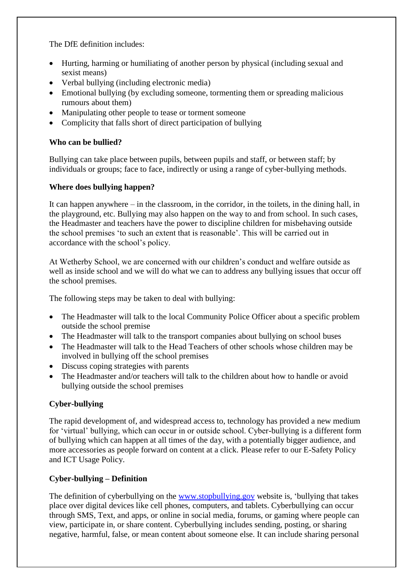The DfE definition includes:

- Hurting, harming or humiliating of another person by physical (including sexual and sexist means)
- Verbal bullying (including electronic media)
- Emotional bullying (by excluding someone, tormenting them or spreading malicious rumours about them)
- Manipulating other people to tease or torment someone
- Complicity that falls short of direct participation of bullying

## **Who can be bullied?**

Bullying can take place between pupils, between pupils and staff, or between staff; by individuals or groups; face to face, indirectly or using a range of cyber-bullying methods.

#### **Where does bullying happen?**

It can happen anywhere – in the classroom, in the corridor, in the toilets, in the dining hall, in the playground, etc. Bullying may also happen on the way to and from school. In such cases, the Headmaster and teachers have the power to discipline children for misbehaving outside the school premises 'to such an extent that is reasonable'. This will be carried out in accordance with the school's policy.

At Wetherby School, we are concerned with our children's conduct and welfare outside as well as inside school and we will do what we can to address any bullying issues that occur off the school premises.

The following steps may be taken to deal with bullying:

- The Headmaster will talk to the local Community Police Officer about a specific problem outside the school premise
- The Headmaster will talk to the transport companies about bullying on school buses
- The Headmaster will talk to the Head Teachers of other schools whose children may be involved in bullying off the school premises
- Discuss coping strategies with parents
- The Headmaster and/or teachers will talk to the children about how to handle or avoid bullying outside the school premises

# **Cyber-bullying**

The rapid development of, and widespread access to, technology has provided a new medium for 'virtual' bullying, which can occur in or outside school. Cyber-bullying is a different form of bullying which can happen at all times of the day, with a potentially bigger audience, and more accessories as people forward on content at a click. Please refer to our E-Safety Policy and ICT Usage Policy.

# **Cyber-bullying – Definition**

The definition of cyberbullying on the [www.stopbullying.gov](http://www.stopbullying.gov/) website is, 'bullying that takes place over digital devices like cell phones, computers, and tablets. Cyberbullying can occur through SMS, Text, and apps, or online in social media, forums, or gaming where people can view, participate in, or share content. Cyberbullying includes sending, posting, or sharing negative, harmful, false, or mean content about someone else. It can include sharing personal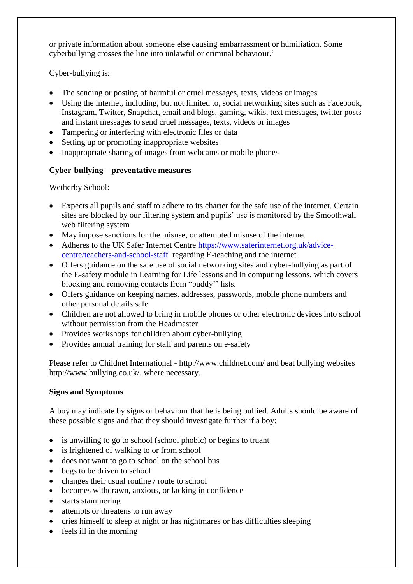or private information about someone else causing embarrassment or humiliation. Some cyberbullying crosses the line into unlawful or criminal behaviour.'

Cyber-bullying is:

- The sending or posting of harmful or cruel messages, texts, videos or images
- Using the internet, including, but not limited to, social networking sites such as Facebook, Instagram, Twitter, Snapchat, email and blogs, gaming, wikis, text messages, twitter posts and instant messages to send cruel messages, texts, videos or images
- Tampering or interfering with electronic files or data
- Setting up or promoting inappropriate websites
- Inappropriate sharing of images from webcams or mobile phones

## **Cyber-bullying – preventative measures**

Wetherby School:

- Expects all pupils and staff to adhere to its charter for the safe use of the internet. Certain sites are blocked by our filtering system and pupils' use is monitored by the Smoothwall web filtering system
- May impose sanctions for the misuse, or attempted misuse of the internet
- Adheres to the UK Safer Internet Centre [https://www.saferinternet.org.uk/advice](https://www.saferinternet.org.uk/advice-centre/teachers-and-school-staff)[centre/teachers-and-school-staff](https://www.saferinternet.org.uk/advice-centre/teachers-and-school-staff) regarding E-teaching and the internet
- Offers guidance on the safe use of social networking sites and cyber-bullying as part of the E-safety module in Learning for Life lessons and in computing lessons, which covers blocking and removing contacts from "buddy'' lists.
- Offers guidance on keeping names, addresses, passwords, mobile phone numbers and other personal details safe
- Children are not allowed to bring in mobile phones or other electronic devices into school without permission from the Headmaster
- Provides workshops for children about cyber-bullying
- Provides annual training for staff and parents on e-safety

Please refer to Childnet International - <http://www.childnet.com/> and beat bullying websites [http://www.bullying.co.uk/,](http://www.bullying.co.uk/) where necessary.

#### **Signs and Symptoms**

A boy may indicate by signs or behaviour that he is being bullied. Adults should be aware of these possible signs and that they should investigate further if a boy:

- is unwilling to go to school (school phobic) or begins to truant
- is frightened of walking to or from school
- does not want to go to school on the school bus
- begs to be driven to school
- changes their usual routine / route to school
- becomes withdrawn, anxious, or lacking in confidence
- starts stammering
- attempts or threatens to run away
- cries himself to sleep at night or has nightmares or has difficulties sleeping
- $\bullet$  feels ill in the morning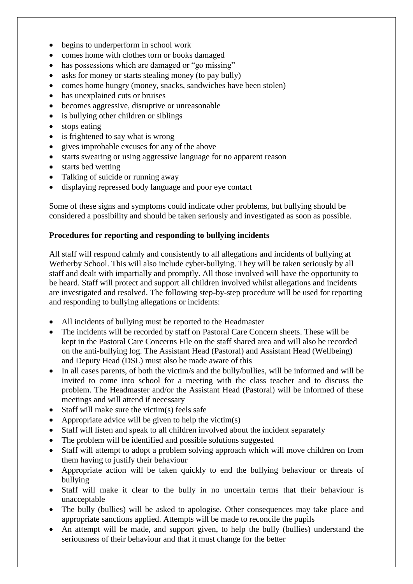- begins to underperform in school work
- comes home with clothes torn or books damaged
- has possessions which are damaged or "go missing"
- asks for money or starts stealing money (to pay bully)
- comes home hungry (money, snacks, sandwiches have been stolen)
- has unexplained cuts or bruises
- becomes aggressive, disruptive or unreasonable
- is bullying other children or siblings
- stops eating
- is frightened to say what is wrong
- gives improbable excuses for any of the above
- starts swearing or using aggressive language for no apparent reason
- starts bed wetting
- Talking of suicide or running away
- displaying repressed body language and poor eye contact

Some of these signs and symptoms could indicate other problems, but bullying should be considered a possibility and should be taken seriously and investigated as soon as possible.

#### **Procedures for reporting and responding to bullying incidents**

All staff will respond calmly and consistently to all allegations and incidents of bullying at Wetherby School. This will also include cyber-bullying. They will be taken seriously by all staff and dealt with impartially and promptly. All those involved will have the opportunity to be heard. Staff will protect and support all children involved whilst allegations and incidents are investigated and resolved. The following step-by-step procedure will be used for reporting and responding to bullying allegations or incidents:

- All incidents of bullying must be reported to the Headmaster
- The incidents will be recorded by staff on Pastoral Care Concern sheets. These will be kept in the Pastoral Care Concerns File on the staff shared area and will also be recorded on the anti-bullying log. The Assistant Head (Pastoral) and Assistant Head (Wellbeing) and Deputy Head (DSL) must also be made aware of this
- In all cases parents, of both the victim/s and the bully/bullies, will be informed and will be invited to come into school for a meeting with the class teacher and to discuss the problem. The Headmaster and/or the Assistant Head (Pastoral) will be informed of these meetings and will attend if necessary
- $\bullet$  Staff will make sure the victim(s) feels safe
- Appropriate advice will be given to help the victim(s)
- Staff will listen and speak to all children involved about the incident separately
- The problem will be identified and possible solutions suggested
- Staff will attempt to adopt a problem solving approach which will move children on from them having to justify their behaviour
- Appropriate action will be taken quickly to end the bullying behaviour or threats of bullying
- Staff will make it clear to the bully in no uncertain terms that their behaviour is unacceptable
- The bully (bullies) will be asked to apologise. Other consequences may take place and appropriate sanctions applied. Attempts will be made to reconcile the pupils
- An attempt will be made, and support given, to help the bully (bullies) understand the seriousness of their behaviour and that it must change for the better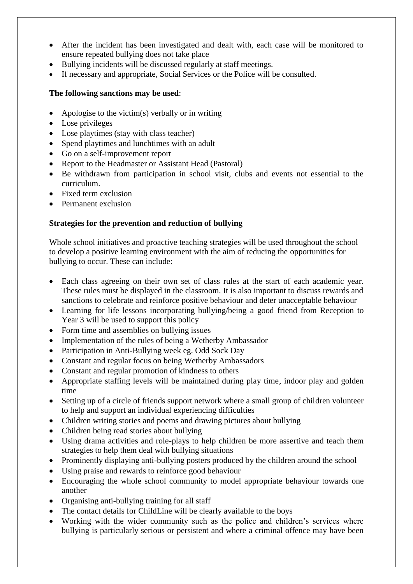- After the incident has been investigated and dealt with, each case will be monitored to ensure repeated bullying does not take place
- Bullying incidents will be discussed regularly at staff meetings.
- If necessary and appropriate, Social Services or the Police will be consulted.

## **The following sanctions may be used**:

- Apologise to the victim(s) verbally or in writing
- Lose privileges
- Lose playtimes (stay with class teacher)
- Spend playtimes and lunchtimes with an adult
- Go on a self-improvement report
- Report to the Headmaster or Assistant Head (Pastoral)
- Be withdrawn from participation in school visit, clubs and events not essential to the curriculum.
- Fixed term exclusion
- Permanent exclusion

## **Strategies for the prevention and reduction of bullying**

Whole school initiatives and proactive teaching strategies will be used throughout the school to develop a positive learning environment with the aim of reducing the opportunities for bullying to occur. These can include:

- Each class agreeing on their own set of class rules at the start of each academic year. These rules must be displayed in the classroom. It is also important to discuss rewards and sanctions to celebrate and reinforce positive behaviour and deter unacceptable behaviour
- Learning for life lessons incorporating bullying/being a good friend from Reception to Year 3 will be used to support this policy
- Form time and assemblies on bullying issues
- Implementation of the rules of being a Wetherby Ambassador
- Participation in Anti-Bullying week eg. Odd Sock Day
- Constant and regular focus on being Wetherby Ambassadors
- Constant and regular promotion of kindness to others
- Appropriate staffing levels will be maintained during play time, indoor play and golden time
- Setting up of a circle of friends support network where a small group of children volunteer to help and support an individual experiencing difficulties
- Children writing stories and poems and drawing pictures about bullying
- Children being read stories about bullying
- Using drama activities and role-plays to help children be more assertive and teach them strategies to help them deal with bullying situations
- Prominently displaying anti-bullying posters produced by the children around the school
- Using praise and rewards to reinforce good behaviour
- Encouraging the whole school community to model appropriate behaviour towards one another
- Organising anti-bullying training for all staff
- The contact details for ChildLine will be clearly available to the boys
- Working with the wider community such as the police and children's services where bullying is particularly serious or persistent and where a criminal offence may have been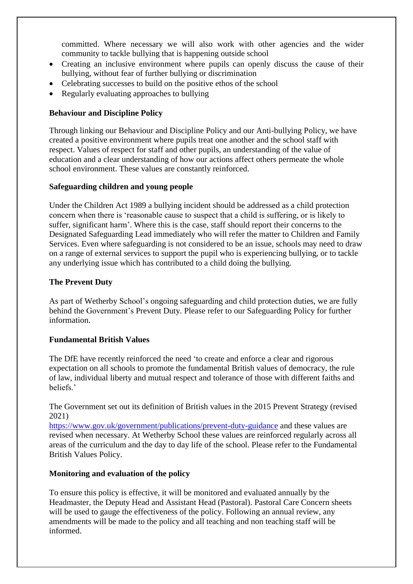committed. Where necessary we will also work with other agencies and the wider community to tackle bullying that is happening outside school

- Creating an inclusive environment where pupils can openly discuss the cause of their bullying, without fear of further bullying or discrimination
- Celebrating successes to build on the positive ethos of the school
- Regularly evaluating approaches to bullying

## **Behaviour and Discipline Policy**

Through linking our Behaviour and Discipline Policy and our Anti-bullying Policy, we have created a positive environment where pupils treat one another and the school staff with respect. Values of respect for staff and other pupils, an understanding of the value of education and a clear understanding of how our actions affect others permeate the whole school environment. These values are constantly reinforced.

#### **Safeguarding children and young people**

Under the Children Act 1989 a bullying incident should be addressed as a child protection concern when there is 'reasonable cause to suspect that a child is suffering, or is likely to suffer, significant harm'. Where this is the case, staff should report their concerns to the Designated Safeguarding Lead immediately who will refer the matter to Children and Family Services. Even where safeguarding is not considered to be an issue, schools may need to draw on a range of external services to support the pupil who is experiencing bullying, or to tackle any underlying issue which has contributed to a child doing the bullying.

## **The Prevent Duty**

As part of Wetherby School's ongoing safeguarding and child protection duties, we are fully behind the Government's Prevent Duty. Please refer to our Safeguarding Policy for further information.

#### **Fundamental British Values**

The DfE have recently reinforced the need 'to create and enforce a clear and rigorous expectation on all schools to promote the fundamental British values of democracy, the rule of law, individual liberty and mutual respect and tolerance of those with different faiths and beliefs.'

The Government set out its definition of British values in the 2015 Prevent Strategy (revised 2021)

<https://www.gov.uk/government/publications/prevent-duty-guidance> and these values are revised when necessary. At Wetherby School these values are reinforced regularly across all areas of the curriculum and the day to day life of the school. Please refer to the Fundamental British Values Policy.

#### **Monitoring and evaluation of the policy**

To ensure this policy is effective, it will be monitored and evaluated annually by the Headmaster, the Deputy Head and Assistant Head (Pastoral). Pastoral Care Concern sheets will be used to gauge the effectiveness of the policy. Following an annual review, any amendments will be made to the policy and all teaching and non teaching staff will be informed.